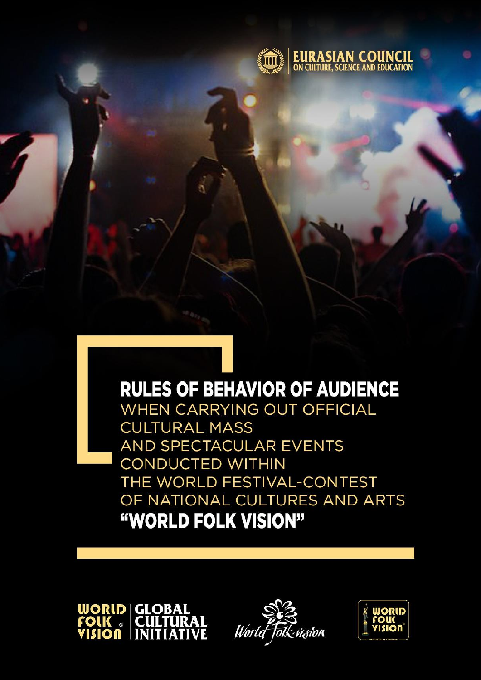

**RULES OF BEHAVIOR OF AUDIENCE** WHEN CARRYING OUT OFFICIAL **CULTURAL MASS** AND SPECTACULAR EVENTS **CONDUCTED WITHIN** THE WORLD FESTIVAL-CONTEST OF NATIONAL CULTURES AND ARTS "WORLD FOLK VISION"





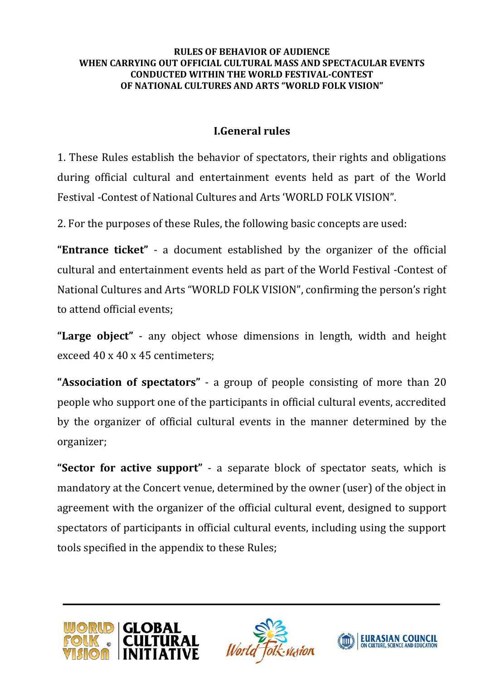#### **RULES OF BEHAVIOR OF AUDIENCE WHEN CARRYING OUT OFFICIAL CULTURAL MASS AND SPECTACULAR EVENTS CONDUCTED WITHIN THE WORLD FESTIVAL-CONTEST OF NATIONAL CULTURES AND ARTS "WORLD FOLK VISION"**

#### **I.General rules**

1. These Rules establish the behavior of spectators, their rights and obligations during official cultural and entertainment events held as part of the World Festival -Contest of National Cultures and Arts 'WORLD FOLK VISION".

2. For the purposes of these Rules, the following basic concepts are used:

**"Entrance ticket"** - a document established by the organizer of the official cultural and entertainment events held as part of the World Festival -Contest of National Cultures and Arts "WORLD FOLK VISION", confirming the person's right to attend official events;

**"Large object"** - any object whose dimensions in length, width and height exceed 40 x 40 x 45 centimeters;

**"Association of spectators"** - a group of people consisting of more than 20 people who support one of the participants in official cultural events, accredited by the organizer of official cultural events in the manner determined by the organizer;

**"Sector for active support"** - a separate block of spectator seats, which is mandatory at the Concert venue, determined by the owner (user) of the object in agreement with the organizer of the official cultural event, designed to support spectators of participants in official cultural events, including using the support tools specified in the appendix to these Rules;





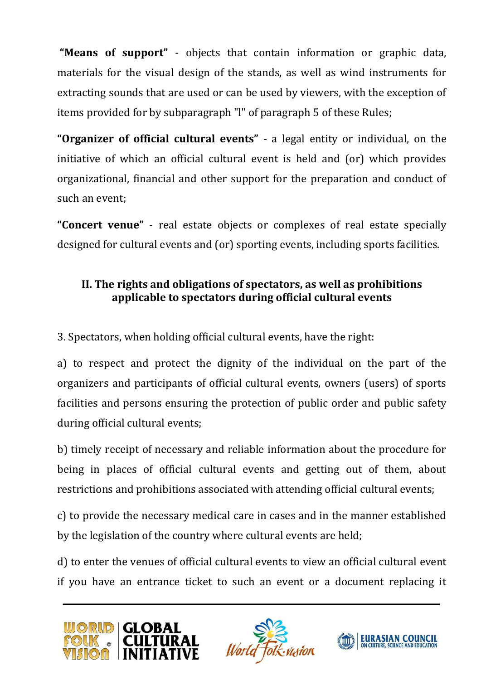**"Means of support"** - objects that contain information or graphic data, materials for the visual design of the stands, as well as wind instruments for extracting sounds that are used or can be used by viewers, with the exception of items provided for by subparagraph "l" of paragraph 5 of these Rules;

**"Organizer of official cultural events"** - a legal entity or individual, on the initiative of which an official cultural event is held and (or) which provides organizational, financial and other support for the preparation and conduct of such an event;

**"Concert venue"** - real estate objects or complexes of real estate specially designed for cultural events and (or) sporting events, including sports facilities.

# **II. The rights and obligations of spectators, as well as prohibitions applicable to spectators during official cultural events**

3. Spectators, when holding official cultural events, have the right:

a) to respect and protect the dignity of the individual on the part of the organizers and participants of official cultural events, owners (users) of sports facilities and persons ensuring the protection of public order and public safety during official cultural events;

b) timely receipt of necessary and reliable information about the procedure for being in places of official cultural events and getting out of them, about restrictions and prohibitions associated with attending official cultural events;

c) to provide the necessary medical care in cases and in the manner established by the legislation of the country where cultural events are held;

d) to enter the venues of official cultural events to view an official cultural event if you have an entrance ticket to such an event or a document replacing it





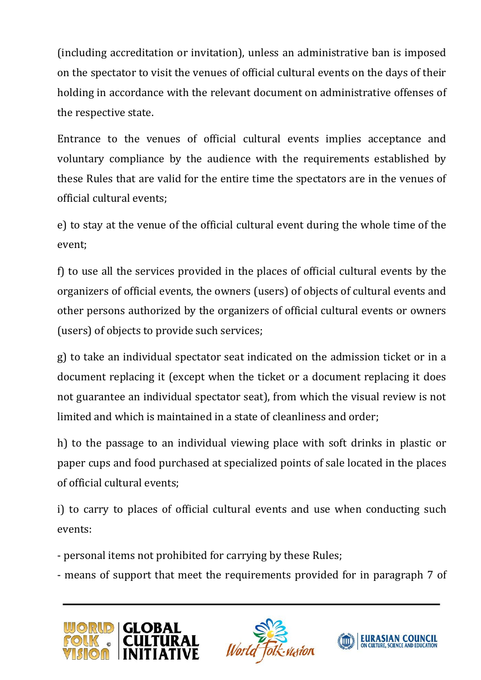(including accreditation or invitation), unless an administrative ban is imposed on the spectator to visit the venues of official cultural events on the days of their holding in accordance with the relevant document on administrative offenses of the respective state.

Entrance to the venues of official cultural events implies acceptance and voluntary compliance by the audience with the requirements established by these Rules that are valid for the entire time the spectators are in the venues of official cultural events;

e) to stay at the venue of the official cultural event during the whole time of the event;

f) to use all the services provided in the places of official cultural events by the organizers of official events, the owners (users) of objects of cultural events and other persons authorized by the organizers of official cultural events or owners (users) of objects to provide such services;

g) to take an individual spectator seat indicated on the admission ticket or in a document replacing it (except when the ticket or a document replacing it does not guarantee an individual spectator seat), from which the visual review is not limited and which is maintained in a state of cleanliness and order;

h) to the passage to an individual viewing place with soft drinks in plastic or paper cups and food purchased at specialized points of sale located in the places of official cultural events;

i) to carry to places of official cultural events and use when conducting such events:

- personal items not prohibited for carrying by these Rules;

- means of support that meet the requirements provided for in paragraph 7 of





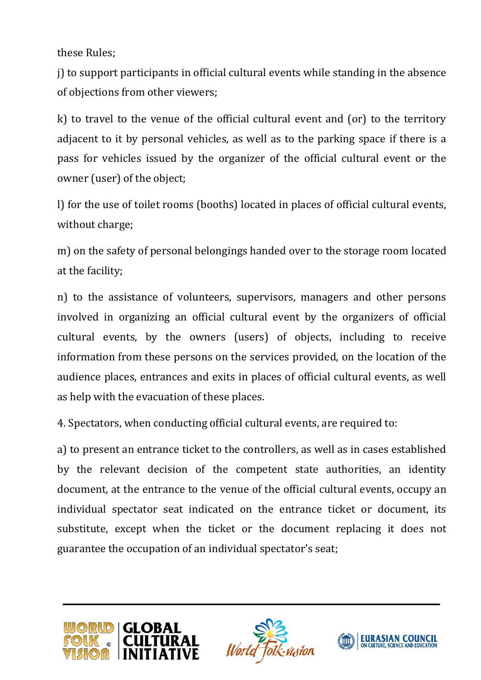these Rules;

j) to support participants in official cultural events while standing in the absence of objections from other viewers;

k) to travel to the venue of the official cultural event and (or) to the territory adjacent to it by personal vehicles, as well as to the parking space if there is a pass for vehicles issued by the organizer of the official cultural event or the owner (user) of the object;

l) for the use of toilet rooms (booths) located in places of official cultural events, without charge;

m) on the safety of personal belongings handed over to the storage room located at the facility;

n) to the assistance of volunteers, supervisors, managers and other persons involved in organizing an official cultural event by the organizers of official cultural events, by the owners (users) of objects, including to receive information from these persons on the services provided, on the location of the audience places, entrances and exits in places of official cultural events, as well as help with the evacuation of these places.

4. Spectators, when conducting official cultural events, are required to:

a) to present an entrance ticket to the controllers, as well as in cases established by the relevant decision of the competent state authorities, an identity document, at the entrance to the venue of the official cultural events, occupy an individual spectator seat indicated on the entrance ticket or document, its substitute, except when the ticket or the document replacing it does not guarantee the occupation of an individual spectator's seat;





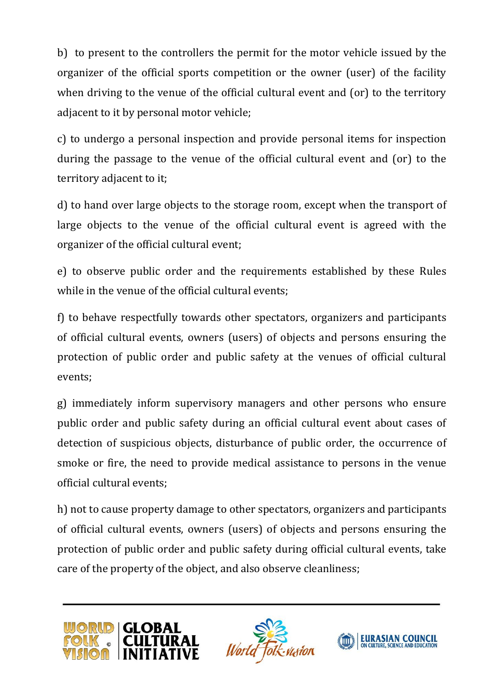b) to present to the controllers the permit for the motor vehicle issued by the organizer of the official sports competition or the owner (user) of the facility when driving to the venue of the official cultural event and (or) to the territory adjacent to it by personal motor vehicle;

c) to undergo a personal inspection and provide personal items for inspection during the passage to the venue of the official cultural event and (or) to the territory adjacent to it;

d) to hand over large objects to the storage room, except when the transport of large objects to the venue of the official cultural event is agreed with the organizer of the official cultural event;

e) to observe public order and the requirements established by these Rules while in the venue of the official cultural events;

f) to behave respectfully towards other spectators, organizers and participants of official cultural events, owners (users) of objects and persons ensuring the protection of public order and public safety at the venues of official cultural events;

g) immediately inform supervisory managers and other persons who ensure public order and public safety during an official cultural event about cases of detection of suspicious objects, disturbance of public order, the occurrence of smoke or fire, the need to provide medical assistance to persons in the venue official cultural events;

h) not to cause property damage to other spectators, organizers and participants of official cultural events, owners (users) of objects and persons ensuring the protection of public order and public safety during official cultural events, take care of the property of the object, and also observe cleanliness;





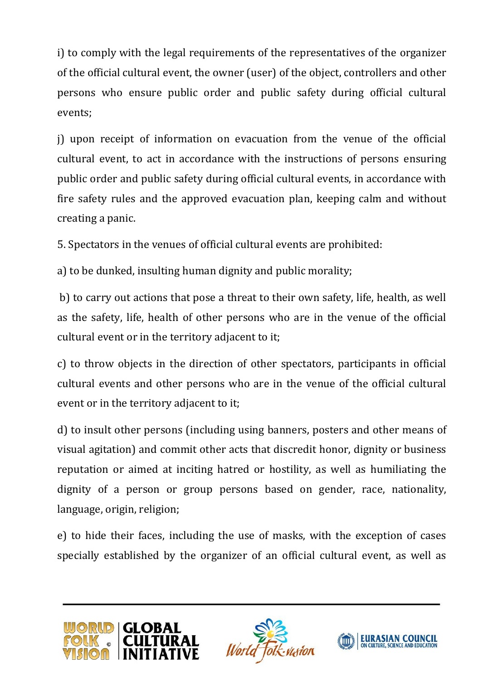i) to comply with the legal requirements of the representatives of the organizer of the official cultural event, the owner (user) of the object, controllers and other persons who ensure public order and public safety during official cultural events;

j) upon receipt of information on evacuation from the venue of the official cultural event, to act in accordance with the instructions of persons ensuring public order and public safety during official cultural events, in accordance with fire safety rules and the approved evacuation plan, keeping calm and without creating a panic.

5. Spectators in the venues of official cultural events are prohibited:

a) to be dunked, insulting human dignity and public morality;

b) to carry out actions that pose a threat to their own safety, life, health, as well as the safety, life, health of other persons who are in the venue of the official cultural event or in the territory adjacent to it;

c) to throw objects in the direction of other spectators, participants in official cultural events and other persons who are in the venue of the official cultural event or in the territory adjacent to it;

d) to insult other persons (including using banners, posters and other means of visual agitation) and commit other acts that discredit honor, dignity or business reputation or aimed at inciting hatred or hostility, as well as humiliating the dignity of a person or group persons based on gender, race, nationality, language, origin, religion;

e) to hide their faces, including the use of masks, with the exception of cases specially established by the organizer of an official cultural event, as well as





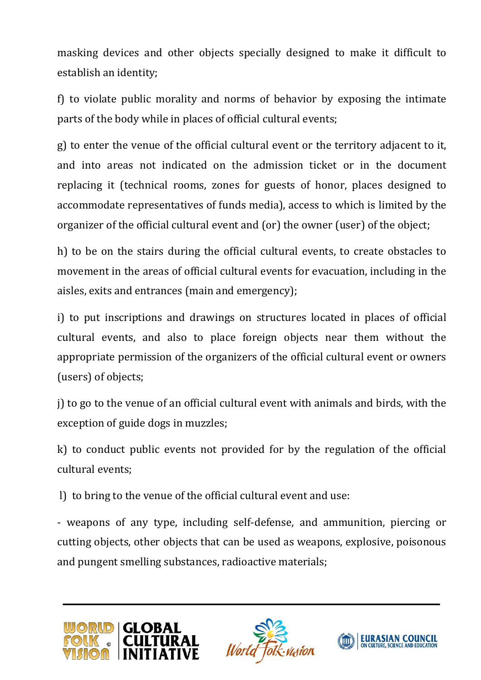masking devices and other objects specially designed to make it difficult to establish an identity;

f) to violate public morality and norms of behavior by exposing the intimate parts of the body while in places of official cultural events;

g) to enter the venue of the official cultural event or the territory adjacent to it, and into areas not indicated on the admission ticket or in the document replacing it (technical rooms, zones for guests of honor, places designed to accommodate representatives of funds media), access to which is limited by the organizer of the official cultural event and (or) the owner (user) of the object;

h) to be on the stairs during the official cultural events, to create obstacles to movement in the areas of official cultural events for evacuation, including in the aisles, exits and entrances (main and emergency);

i) to put inscriptions and drawings on structures located in places of official cultural events, and also to place foreign objects near them without the appropriate permission of the organizers of the official cultural event or owners (users) of objects;

j) to go to the venue of an official cultural event with animals and birds, with the exception of guide dogs in muzzles;

k) to conduct public events not provided for by the regulation of the official cultural events;

l) to bring to the venue of the official cultural event and use:

- weapons of any type, including self-defense, and ammunition, piercing or cutting objects, other objects that can be used as weapons, explosive, poisonous and pungent smelling substances, radioactive materials;





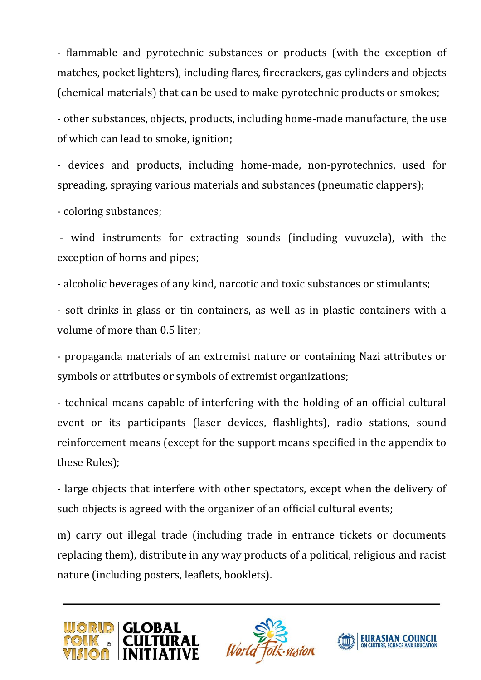- flammable and pyrotechnic substances or products (with the exception of matches, pocket lighters), including flares, firecrackers, gas cylinders and objects (chemical materials) that can be used to make pyrotechnic products or smokes;

- other substances, objects, products, including home-made manufacture, the use of which can lead to smoke, ignition;

- devices and products, including home-made, non-pyrotechnics, used for spreading, spraying various materials and substances (pneumatic clappers);

- coloring substances;

- wind instruments for extracting sounds (including vuvuzela), with the exception of horns and pipes;

- alcoholic beverages of any kind, narcotic and toxic substances or stimulants;

- soft drinks in glass or tin containers, as well as in plastic containers with a volume of more than 0.5 liter;

- propaganda materials of an extremist nature or containing Nazi attributes or symbols or attributes or symbols of extremist organizations;

- technical means capable of interfering with the holding of an official cultural event or its participants (laser devices, flashlights), radio stations, sound reinforcement means (except for the support means specified in the appendix to these Rules);

- large objects that interfere with other spectators, except when the delivery of such objects is agreed with the organizer of an official cultural events;

m) carry out illegal trade (including trade in entrance tickets or documents replacing them), distribute in any way products of a political, religious and racist nature (including posters, leaflets, booklets).





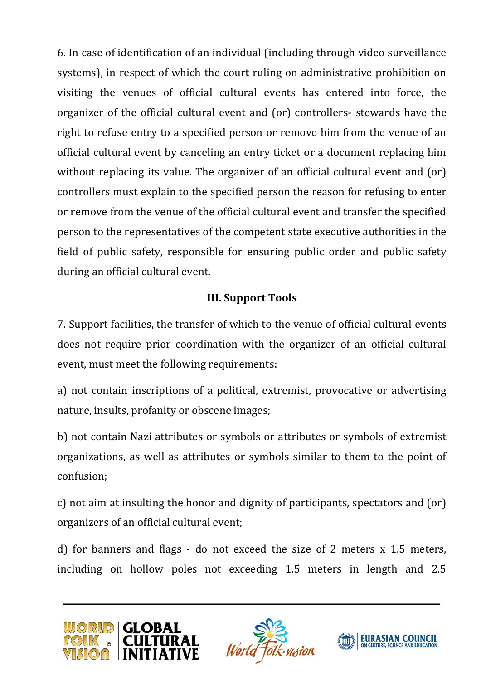6. In case of identification of an individual (including through video surveillance systems), in respect of which the court ruling on administrative prohibition on visiting the venues of official cultural events has entered into force, the organizer of the official cultural event and (or) controllers- stewards have the right to refuse entry to a specified person or remove him from the venue of an official cultural event by canceling an entry ticket or a document replacing him without replacing its value. The organizer of an official cultural event and (or) controllers must explain to the specified person the reason for refusing to enter or remove from the venue of the official cultural event and transfer the specified person to the representatives of the competent state executive authorities in the field of public safety, responsible for ensuring public order and public safety during an official cultural event.

### **III. Support Tools**

7. Support facilities, the transfer of which to the venue of official cultural events does not require prior coordination with the organizer of an official cultural event, must meet the following requirements:

a) not contain inscriptions of a political, extremist, provocative or advertising nature, insults, profanity or obscene images;

b) not contain Nazi attributes or symbols or attributes or symbols of extremist organizations, as well as attributes or symbols similar to them to the point of confusion;

c) not aim at insulting the honor and dignity of participants, spectators and (or) organizers of an official cultural event;

d) for banners and flags - do not exceed the size of 2 meters x 1.5 meters, including on hollow poles not exceeding 1.5 meters in length and 2.5





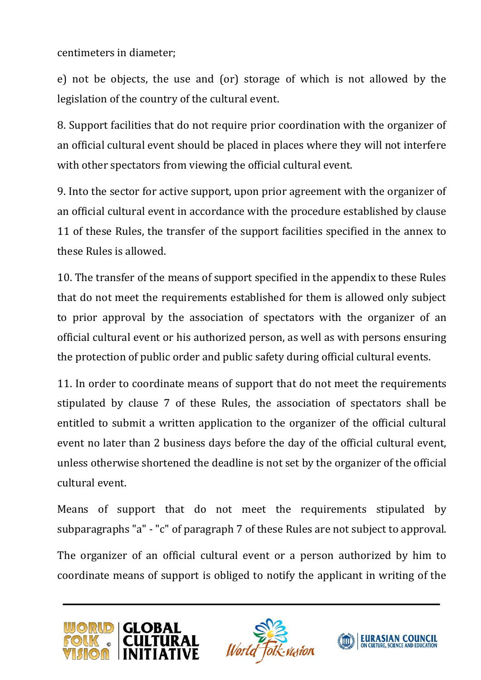centimeters in diameter;

e) not be objects, the use and (or) storage of which is not allowed by the legislation of the country of the cultural event.

8. Support facilities that do not require prior coordination with the organizer of an official cultural event should be placed in places where they will not interfere with other spectators from viewing the official cultural event.

9. Into the sector for active support, upon prior agreement with the organizer of an official cultural event in accordance with the procedure established by clause 11 of these Rules, the transfer of the support facilities specified in the annex to these Rules is allowed.

10. The transfer of the means of support specified in the appendix to these Rules that do not meet the requirements established for them is allowed only subject to prior approval by the association of spectators with the organizer of an official cultural event or his authorized person, as well as with persons ensuring the protection of public order and public safety during official cultural events.

11. In order to coordinate means of support that do not meet the requirements stipulated by clause 7 of these Rules, the association of spectators shall be entitled to submit a written application to the organizer of the official cultural event no later than 2 business days before the day of the official cultural event, unless otherwise shortened the deadline is not set by the organizer of the official cultural event.

Means of support that do not meet the requirements stipulated by subparagraphs "a" - "c" of paragraph 7 of these Rules are not subject to approval.

The organizer of an official cultural event or a person authorized by him to coordinate means of support is obliged to notify the applicant in writing of the





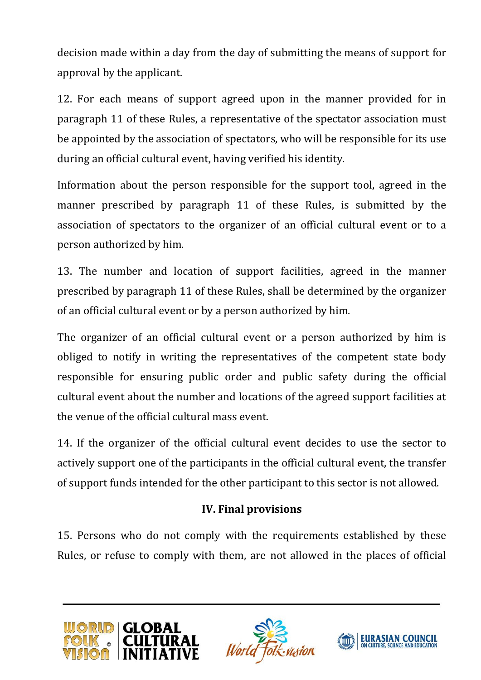decision made within a day from the day of submitting the means of support for approval by the applicant.

12. For each means of support agreed upon in the manner provided for in paragraph 11 of these Rules, a representative of the spectator association must be appointed by the association of spectators, who will be responsible for its use during an official cultural event, having verified his identity.

Information about the person responsible for the support tool, agreed in the manner prescribed by paragraph 11 of these Rules, is submitted by the association of spectators to the organizer of an official cultural event or to a person authorized by him.

13. The number and location of support facilities, agreed in the manner prescribed by paragraph 11 of these Rules, shall be determined by the organizer of an official cultural event or by a person authorized by him.

The organizer of an official cultural event or a person authorized by him is obliged to notify in writing the representatives of the competent state body responsible for ensuring public order and public safety during the official cultural event about the number and locations of the agreed support facilities at the venue of the official cultural mass event.

14. If the organizer of the official cultural event decides to use the sector to actively support one of the participants in the official cultural event, the transfer of support funds intended for the other participant to this sector is not allowed.

## **IV. Final provisions**

15. Persons who do not comply with the requirements established by these Rules, or refuse to comply with them, are not allowed in the places of official